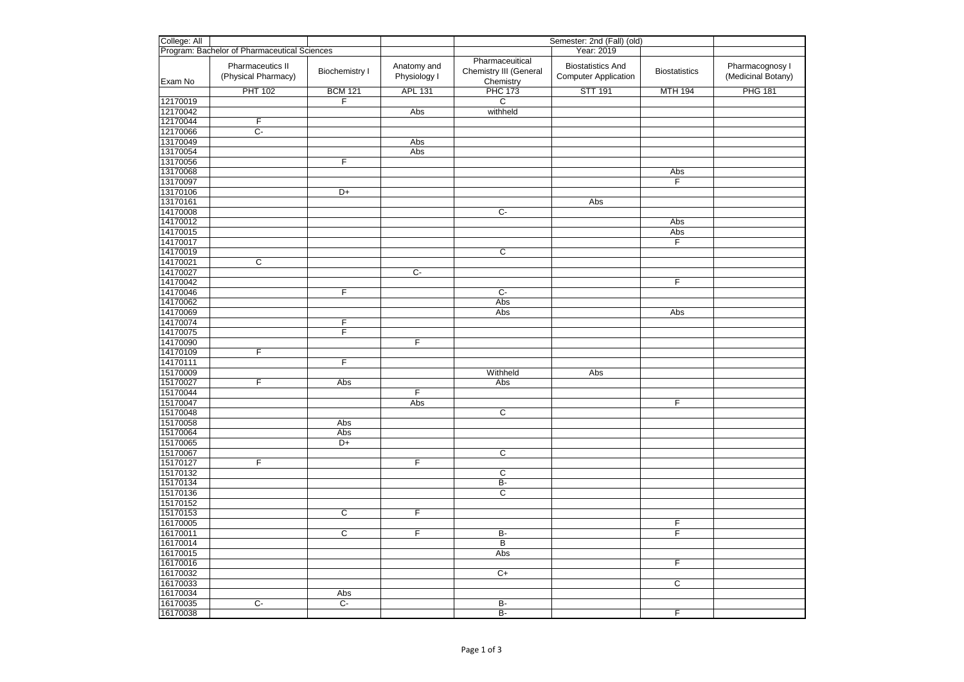| College: All                                 |                                         |                       |                             | Semester: 2nd (Fall) (old)                             |                                                         |                      |                                       |
|----------------------------------------------|-----------------------------------------|-----------------------|-----------------------------|--------------------------------------------------------|---------------------------------------------------------|----------------------|---------------------------------------|
| Program: Bachelor of Pharmaceutical Sciences |                                         |                       |                             |                                                        | Year: 2019                                              |                      |                                       |
| Exam No                                      | Pharmaceutics II<br>(Physical Pharmacy) | <b>Biochemistry I</b> | Anatomy and<br>Physiology I | Pharmaceuitical<br>Chemistry III (General<br>Chemistry | <b>Biostatistics And</b><br><b>Computer Application</b> | <b>Biostatistics</b> | Pharmacognosy I<br>(Medicinal Botany) |
|                                              | <b>PHT 102</b>                          | <b>BCM 121</b>        | <b>APL 131</b>              | <b>PHC 173</b>                                         | <b>STT 191</b>                                          | <b>MTH 194</b>       | <b>PHG 181</b>                        |
| 12170019                                     |                                         | F                     |                             | $\overline{c}$                                         |                                                         |                      |                                       |
| 12170042                                     |                                         |                       | Abs                         | withheld                                               |                                                         |                      |                                       |
| 12170044                                     | F                                       |                       |                             |                                                        |                                                         |                      |                                       |
| 12170066                                     | $C -$                                   |                       |                             |                                                        |                                                         |                      |                                       |
| 13170049                                     |                                         |                       | Abs                         |                                                        |                                                         |                      |                                       |
| 13170054                                     |                                         |                       | Abs                         |                                                        |                                                         |                      |                                       |
| 13170056                                     |                                         | F                     |                             |                                                        |                                                         |                      |                                       |
| 13170068                                     |                                         |                       |                             |                                                        |                                                         | Abs                  |                                       |
| 13170097                                     |                                         |                       |                             |                                                        |                                                         | F                    |                                       |
| 13170106                                     |                                         | D+                    |                             |                                                        |                                                         |                      |                                       |
| 13170161                                     |                                         |                       |                             |                                                        | Abs                                                     |                      |                                       |
| 14170008                                     |                                         |                       |                             | $\overline{C}$                                         |                                                         |                      |                                       |
| 14170012                                     |                                         |                       |                             |                                                        |                                                         | Abs                  |                                       |
| 14170015                                     |                                         |                       |                             |                                                        |                                                         | Abs                  |                                       |
| 14170017                                     |                                         |                       |                             |                                                        |                                                         | F                    |                                       |
| 14170019                                     |                                         |                       |                             | $\overline{\text{c}}$                                  |                                                         |                      |                                       |
| 14170021<br>14170027                         | C                                       |                       | $\overline{C}$              |                                                        |                                                         |                      |                                       |
| 14170042                                     |                                         |                       |                             |                                                        |                                                         | $\overline{F}$       |                                       |
| 14170046                                     |                                         | F                     |                             | $\overline{C}$                                         |                                                         |                      |                                       |
| 14170062                                     |                                         |                       |                             | Abs                                                    |                                                         |                      |                                       |
| 14170069                                     |                                         |                       |                             | Abs                                                    |                                                         | Abs                  |                                       |
| 14170074                                     |                                         | F                     |                             |                                                        |                                                         |                      |                                       |
| 14170075                                     |                                         | F                     |                             |                                                        |                                                         |                      |                                       |
| 14170090                                     |                                         |                       | F                           |                                                        |                                                         |                      |                                       |
| 14170109                                     | $\overline{F}$                          |                       |                             |                                                        |                                                         |                      |                                       |
| 14170111                                     |                                         | F                     |                             |                                                        |                                                         |                      |                                       |
| 15170009                                     |                                         |                       |                             | Withheld                                               | Abs                                                     |                      |                                       |
| 15170027                                     | F                                       | Abs                   |                             | Abs                                                    |                                                         |                      |                                       |
| 15170044                                     |                                         |                       | F                           |                                                        |                                                         |                      |                                       |
| 15170047                                     |                                         |                       | Abs                         |                                                        |                                                         | F                    |                                       |
| 15170048                                     |                                         |                       |                             | $\overline{c}$                                         |                                                         |                      |                                       |
| 15170058                                     |                                         | Abs                   |                             |                                                        |                                                         |                      |                                       |
| 15170064                                     |                                         | Abs                   |                             |                                                        |                                                         |                      |                                       |
| 15170065                                     |                                         | D+                    |                             |                                                        |                                                         |                      |                                       |
| 15170067                                     |                                         |                       |                             | $\overline{C}$                                         |                                                         |                      |                                       |
| 15170127                                     | F                                       |                       | F                           |                                                        |                                                         |                      |                                       |
| 15170132                                     |                                         |                       |                             | $\overline{c}$                                         |                                                         |                      |                                       |
| 15170134                                     |                                         |                       |                             | $B -$                                                  |                                                         |                      |                                       |
| 15170136                                     |                                         |                       |                             | $\overline{\mathsf{c}}$                                |                                                         |                      |                                       |
| 15170152                                     |                                         |                       |                             |                                                        |                                                         |                      |                                       |
| 15170153                                     |                                         | $\overline{C}$        | $\overline{F}$              |                                                        |                                                         |                      |                                       |
| 16170005                                     |                                         |                       |                             |                                                        |                                                         | F                    |                                       |
| 16170011                                     |                                         | C                     | F                           | B-                                                     |                                                         | F                    |                                       |
| 16170014                                     |                                         |                       |                             | $\overline{B}$                                         |                                                         |                      |                                       |
| 16170015                                     |                                         |                       |                             | Abs                                                    |                                                         |                      |                                       |
| 16170016                                     |                                         |                       |                             |                                                        |                                                         | F                    |                                       |
| 16170032<br>16170033                         |                                         |                       |                             | $\overline{C+}$                                        |                                                         | $\overline{c}$       |                                       |
| 16170034                                     |                                         | Abs                   |                             |                                                        |                                                         |                      |                                       |
| 16170035                                     | $\overline{C}$ -                        | $C -$                 |                             | $\overline{B}$                                         |                                                         |                      |                                       |
| 16170038                                     |                                         |                       |                             | B-                                                     |                                                         | F                    |                                       |
|                                              |                                         |                       |                             |                                                        |                                                         |                      |                                       |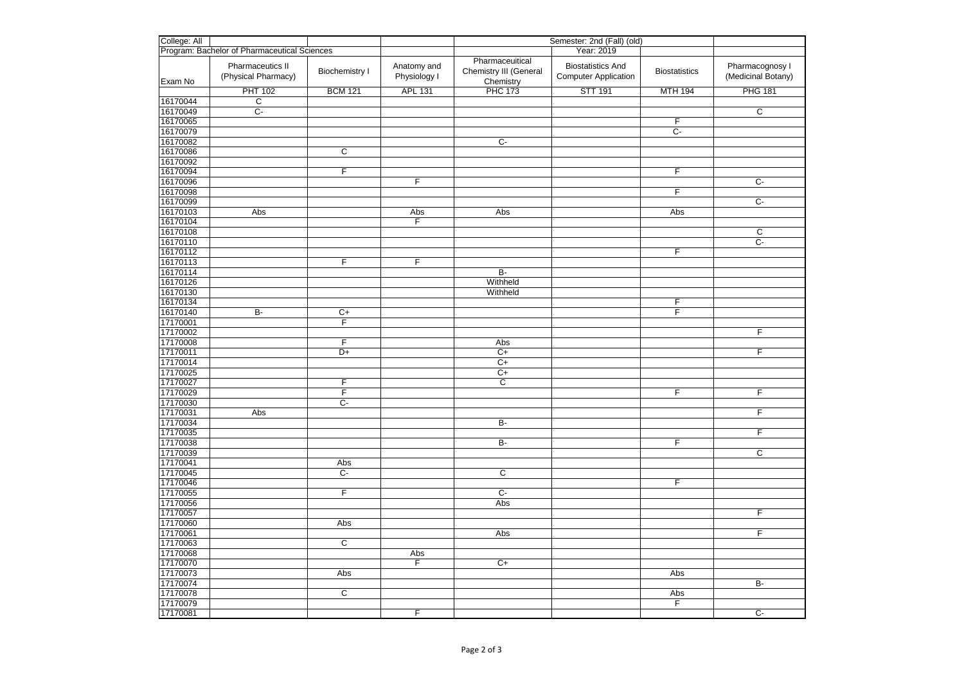| College: All                                 |                                         |                       |                             | Semester: 2nd (Fall) (old)                             |                                                         |                      |                                       |
|----------------------------------------------|-----------------------------------------|-----------------------|-----------------------------|--------------------------------------------------------|---------------------------------------------------------|----------------------|---------------------------------------|
| Program: Bachelor of Pharmaceutical Sciences |                                         |                       |                             | Year: 2019                                             |                                                         |                      |                                       |
| Exam No                                      | Pharmaceutics II<br>(Physical Pharmacy) | <b>Biochemistry I</b> | Anatomy and<br>Physiology I | Pharmaceuitical<br>Chemistry III (General<br>Chemistry | <b>Biostatistics And</b><br><b>Computer Application</b> | <b>Biostatistics</b> | Pharmacognosy I<br>(Medicinal Botany) |
|                                              | <b>PHT 102</b>                          | <b>BCM 121</b>        | <b>APL 131</b>              | <b>PHC 173</b>                                         | <b>STT 191</b>                                          | <b>MTH 194</b>       | <b>PHG 181</b>                        |
| 16170044                                     | $\overline{C}$                          |                       |                             |                                                        |                                                         |                      |                                       |
| 16170049                                     | $C -$                                   |                       |                             |                                                        |                                                         |                      | $\overline{c}$                        |
| 16170065                                     |                                         |                       |                             |                                                        |                                                         | F                    |                                       |
| 16170079                                     |                                         |                       |                             |                                                        |                                                         | $\overline{C}$       |                                       |
| 16170082                                     |                                         |                       |                             | $C-$                                                   |                                                         |                      |                                       |
| 16170086                                     |                                         | $\overline{c}$        |                             |                                                        |                                                         |                      |                                       |
| 16170092                                     |                                         |                       |                             |                                                        |                                                         |                      |                                       |
| 16170094                                     |                                         | F                     |                             |                                                        |                                                         | F                    |                                       |
| 16170096                                     |                                         |                       | $\overline{F}$              |                                                        |                                                         |                      | $\overline{C}$                        |
| 16170098                                     |                                         |                       |                             |                                                        |                                                         | F                    |                                       |
| 16170099                                     |                                         |                       |                             |                                                        |                                                         |                      | $\overline{C}$                        |
| 16170103                                     | Abs                                     |                       | Abs                         | Abs                                                    |                                                         | Abs                  |                                       |
| 16170104                                     |                                         |                       | F                           |                                                        |                                                         |                      |                                       |
| 16170108                                     |                                         |                       |                             |                                                        |                                                         |                      | C                                     |
| 16170110                                     |                                         |                       |                             |                                                        |                                                         |                      | C-                                    |
| 16170112                                     |                                         |                       | F                           |                                                        |                                                         | $\overline{F}$       |                                       |
| 16170113                                     |                                         | F                     |                             | $B -$                                                  |                                                         |                      |                                       |
| 16170114<br>16170126                         |                                         |                       |                             | Withheld                                               |                                                         |                      |                                       |
| 16170130                                     |                                         |                       |                             |                                                        |                                                         |                      |                                       |
| 16170134                                     |                                         |                       |                             | Withheld                                               |                                                         | F                    |                                       |
| 16170140                                     | B-                                      | $C+$                  |                             |                                                        |                                                         | F                    |                                       |
| 17170001                                     |                                         | $\overline{F}$        |                             |                                                        |                                                         |                      |                                       |
| 17170002                                     |                                         |                       |                             |                                                        |                                                         |                      | $\overline{F}$                        |
| 17170008                                     |                                         | $\overline{F}$        |                             | Abs                                                    |                                                         |                      |                                       |
| 17170011                                     |                                         | $D+$                  |                             | $C+$                                                   |                                                         |                      | $\mathsf F$                           |
| 17170014                                     |                                         |                       |                             | $\overline{C}$                                         |                                                         |                      |                                       |
| 17170025                                     |                                         |                       |                             | $C+$                                                   |                                                         |                      |                                       |
| 17170027                                     |                                         | F                     |                             | С                                                      |                                                         |                      |                                       |
| 17170029                                     |                                         | F                     |                             |                                                        |                                                         | F                    | F                                     |
| 17170030                                     |                                         | $\overline{C}$        |                             |                                                        |                                                         |                      |                                       |
| 17170031                                     | Abs                                     |                       |                             |                                                        |                                                         |                      | $\overline{F}$                        |
| 17170034                                     |                                         |                       |                             | B-                                                     |                                                         |                      |                                       |
| 17170035                                     |                                         |                       |                             |                                                        |                                                         |                      | F                                     |
| 17170038                                     |                                         |                       |                             | $\overline{B}$                                         |                                                         | F                    |                                       |
| 17170039                                     |                                         |                       |                             |                                                        |                                                         |                      | C                                     |
| 17170041                                     |                                         | Abs                   |                             |                                                        |                                                         |                      |                                       |
| 17170045                                     |                                         | $C -$                 |                             | $\overline{\mathsf{c}}$                                |                                                         |                      |                                       |
| 17170046                                     |                                         |                       |                             |                                                        |                                                         | F                    |                                       |
| 17170055                                     |                                         | F                     |                             | $\overline{C}$                                         |                                                         |                      |                                       |
| 17170056                                     |                                         |                       |                             | Abs                                                    |                                                         |                      |                                       |
| 17170057                                     |                                         |                       |                             |                                                        |                                                         |                      | F                                     |
| 17170060                                     |                                         | Abs                   |                             |                                                        |                                                         |                      |                                       |
| 17170061                                     |                                         |                       |                             | Abs                                                    |                                                         |                      | $\overline{F}$                        |
| 17170063                                     |                                         | $\overline{c}$        |                             |                                                        |                                                         |                      |                                       |
| 17170068                                     |                                         |                       | Abs                         |                                                        |                                                         |                      |                                       |
| 17170070                                     |                                         |                       | F                           | $C+$                                                   |                                                         |                      |                                       |
| 17170073                                     |                                         | Abs                   |                             |                                                        |                                                         | Abs                  | B-                                    |
| 17170074<br>17170078                         |                                         | $\overline{c}$        |                             |                                                        |                                                         |                      |                                       |
|                                              |                                         |                       |                             |                                                        |                                                         | Abs                  |                                       |
| 17170079                                     |                                         |                       | F                           |                                                        |                                                         | F                    |                                       |
| 17170081                                     |                                         |                       |                             |                                                        |                                                         |                      | C-                                    |